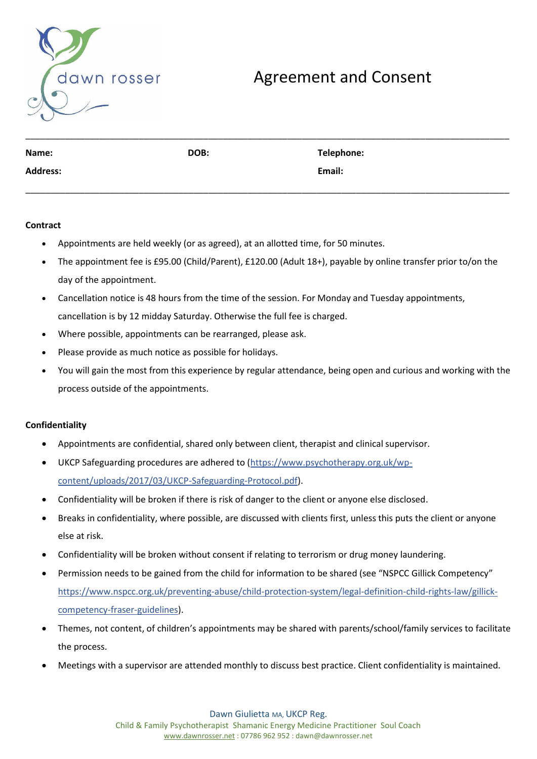

# Agreement and Consent

| Name:           | DOB: | Telephone: |
|-----------------|------|------------|
| <b>Address:</b> |      | Email:     |
|                 |      |            |

## **Contract**

- Appointments are held weekly (or as agreed), at an allotted time, for 50 minutes.
- The appointment fee is £95.00 (Child/Parent), £120.00 (Adult 18+), payable by online transfer prior to/on the day of the appointment.
- Cancellation notice is 48 hours from the time of the session. For Monday and Tuesday appointments, cancellation is by 12 midday Saturday. Otherwise the full fee is charged.
- Where possible, appointments can be rearranged, please ask.
- Please provide as much notice as possible for holidays.
- You will gain the most from this experience by regular attendance, being open and curious and working with the process outside of the appointments.

# **Confidentiality**

- Appointments are confidential, shared only between client, therapist and clinical supervisor.
- UKCP Safeguarding procedures are adhered to [\(https://www.psychotherapy.org.uk/wp](https://www.psychotherapy.org.uk/wp-content/uploads/2017/03/UKCP-Safeguarding-Protocol.pdf)[content/uploads/2017/03/UKCP-Safeguarding-Protocol.pdf\)](https://www.psychotherapy.org.uk/wp-content/uploads/2017/03/UKCP-Safeguarding-Protocol.pdf).
- Confidentiality will be broken if there is risk of danger to the client or anyone else disclosed.
- Breaks in confidentiality, where possible, are discussed with clients first, unless this puts the client or anyone else at risk.
- Confidentiality will be broken without consent if relating to terrorism or drug money laundering.
- Permission needs to be gained from the child for information to be shared (see "NSPCC Gillick Competency" https://www.nspcc.org.uk/preventing-abuse/child-protection-system/legal-definition-child-rights-law/gillickcompetency-fraser-guidelines).
- Themes, not content, of children's appointments may be shared with parents/school/family services to facilitate the process.
- Meetings with a supervisor are attended monthly to discuss best practice. Client confidentiality is maintained.